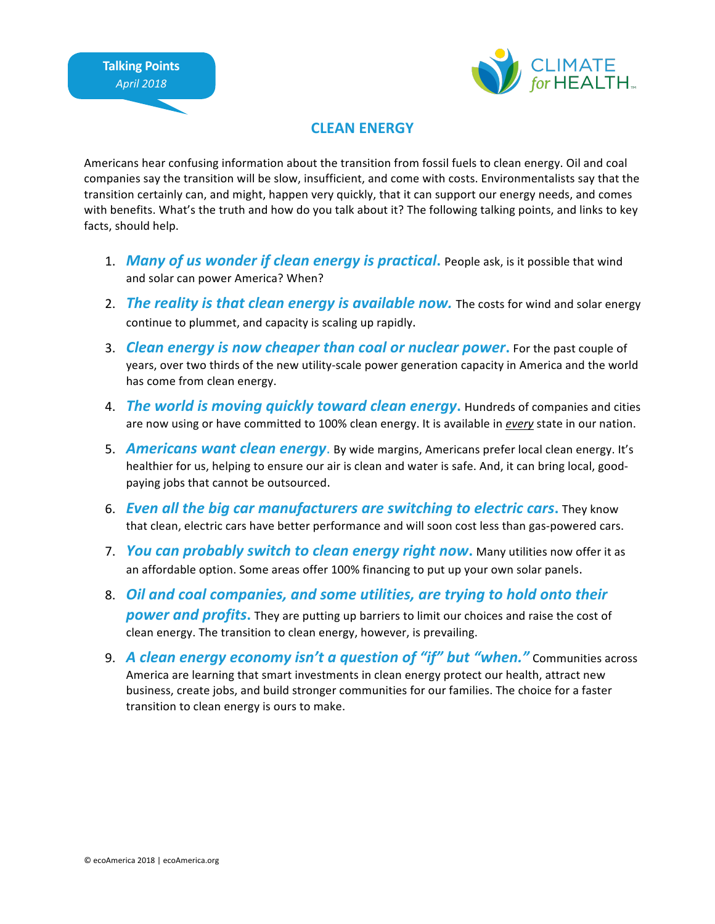

## **CLEAN ENERGY**

Americans hear confusing information about the transition from fossil fuels to clean energy. Oil and coal companies say the transition will be slow, insufficient, and come with costs. Environmentalists say that the transition certainly can, and might, happen very quickly, that it can support our energy needs, and comes with benefits. What's the truth and how do you talk about it? The following talking points, and links to key facts, should help.

- 1. **Many of us wonder if clean energy is practical**. People ask, is it possible that wind and solar can power America? When?
- 2. *The reality is that clean energy is available now.* The costs for wind and solar energy continue to plummet, and capacity is scaling up rapidly.
- 3. *Clean energy is now cheaper than coal or nuclear power***.** For the past couple of years, over two thirds of the new utility-scale power generation capacity in America and the world has come from clean energy.
- 4. *The world is moving quickly toward clean energy*. Hundreds of companies and cities are now using or have committed to 100% clean energy. It is available in *every* state in our nation.
- 5. **Americans want clean energy**. By wide margins, Americans prefer local clean energy. It's healthier for us, helping to ensure our air is clean and water is safe. And, it can bring local, goodpaying jobs that cannot be outsourced.
- 6. *Even all the big car manufacturers are switching to electric cars.* They know that clean, electric cars have better performance and will soon cost less than gas-powered cars.
- 7. *You can probably switch to clean energy right now*. Many utilities now offer it as an affordable option. Some areas offer 100% financing to put up your own solar panels.
- 8. Oil and coal companies, and some utilities, are trying to hold onto their **power and profits.** They are putting up barriers to limit our choices and raise the cost of clean energy. The transition to clean energy, however, is prevailing.
- 9. A clean energy economy isn't a question of "if" but "when." Communities across America are learning that smart investments in clean energy protect our health, attract new business, create jobs, and build stronger communities for our families. The choice for a faster transition to clean energy is ours to make.